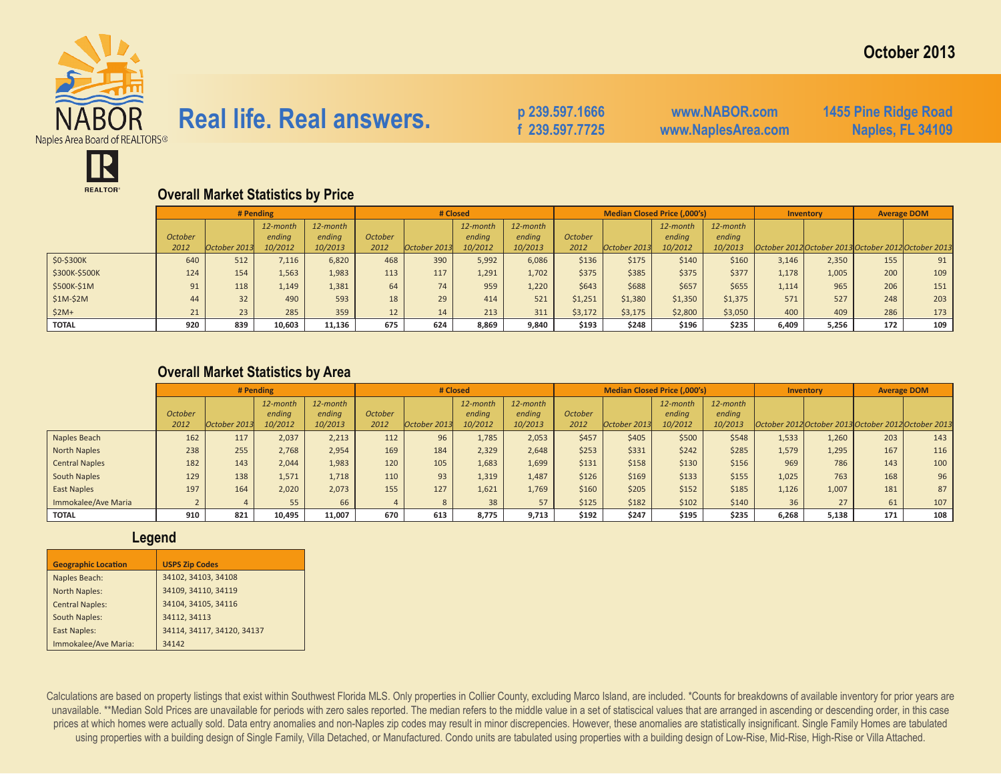

# **Real life. Real answers.** p 239.597.1666

 **f 239.597.7725**

**www.NABOR.com www.NaplesArea.com** **1455 Pine Ridge Road Naples, FL 34109**



## **Overall Market Statistics by Price**

|               |                |              | # Pending |          |         | # Closed     |          |          |         |              | <b>Median Closed Price (,000's)</b> |          | Inventory |                                                     |     | <b>Average DOM</b> |
|---------------|----------------|--------------|-----------|----------|---------|--------------|----------|----------|---------|--------------|-------------------------------------|----------|-----------|-----------------------------------------------------|-----|--------------------|
|               |                |              | 12-month  | 12-month |         |              | 12-month | 12-month |         |              | 12-month                            | 12-month |           |                                                     |     |                    |
|               | <b>October</b> |              | ending    | ending   | October |              | ending   | ending   | October |              | ending                              | ending   |           |                                                     |     |                    |
|               | 2012           | October 2013 | 10/2012   | 10/2013  | 2012    | October 2013 | 10/2012  | 10/2013  | 2012    | October 2013 | 10/2012                             | 10/2013  |           | October 2012 October 2013 October 2012 October 2013 |     |                    |
| \$0-\$300K    | 640            | 512          | 7,116     | 6,820    | 468     | 390          | 5,992    | 6,086    | \$136   | \$175        | \$140                               | \$160    | 3,146     | 2,350                                               | 155 | 91                 |
| \$300K-\$500K | 124            | 154          | 1,563     | 1,983    | 113     | 117          | 1,291    | 1,702    | \$375   | \$385        | \$375                               | \$377    | 1,178     | 1,005                                               | 200 | 109                |
| \$500K-\$1M   | 91             | 118          | 1,149     | 1,381    | 64      | 74           | 959      | 1,220    | \$643   | \$688        | \$657                               | \$655    | 1,114     | 965                                                 | 206 | 151                |
| $$1M-$2M$     | 44             | 32           | 490       | 593      | 18      | 29           | 414      | 521      | \$1,251 | \$1,380      | \$1,350                             | \$1,375  | 571       | 527                                                 | 248 | 203                |
| $$2M+$        | 21             | 23           | 285       | 359      | 12      | 14           | 213      | 311      | \$3,172 | \$3,175      | \$2,800                             | \$3,050  | 400       | 409                                                 | 286 | 173                |
| <b>TOTAL</b>  | 920            | 839          | 10,603    | 11,136   | 675     | 624          | 8,869    | 9,840    | \$193   | \$248        | \$196                               | \$235    | 6,409     | 5,256                                               | 172 | 109                |

### **Overall Market Statistics by Area**

|                       |         |              | # Pending |          |                | # Closed     |          |          |                | Median Closed Price (,000's) |          |          | Inventory |       | <b>Average DOM</b>                                  |     |
|-----------------------|---------|--------------|-----------|----------|----------------|--------------|----------|----------|----------------|------------------------------|----------|----------|-----------|-------|-----------------------------------------------------|-----|
|                       |         |              | 12-month  | 12-month |                |              | 12-month | 12-month |                |                              | 12-month | 12-month |           |       |                                                     |     |
|                       | October |              | ending    | ending   | <b>October</b> |              | ending   | endina   | <b>October</b> |                              | ending   | endina   |           |       |                                                     |     |
|                       | 2012    | October 2013 | 10/2012   | 10/2013  | 2012           | October 2013 | 10/2012  | 10/2013  | 2012           | October 2013                 | 10/2012  | 10/2013  |           |       | October 2012 October 2013 October 2012 October 2013 |     |
| Naples Beach          | 162     | 117          | 2.037     | 2,213    | 112            | 96           | 1,785    | 2,053    | \$457          | \$405                        | \$500    | \$548    | 1,533     | 1.260 | 203                                                 | 143 |
| North Naples          | 238     | 255          | 2,768     | 2,954    | 169            | 184          | 2,329    | 2,648    | \$253          | \$331                        | \$242    | \$285    | 1,579     | 1,295 | 167                                                 | 116 |
| <b>Central Naples</b> | 182     | 143          | 2.044     | 1,983    | 120            | 105          | 1,683    | 1,699    | \$131          | \$158                        | \$130    | \$156    | 969       | 786   | 143                                                 | 100 |
| South Naples          | 129     | 138          | 1.571     | 1,718    | 110            | 93           | 1,319    | 1,487    | \$126          | \$169                        | \$133    | \$155    | 1,025     | 763   | 168                                                 | 96  |
| East Naples           | 197     | 164          | 2,020     | 2,073    | 155            | 127          | 1,621    | 1,769    | \$160          | \$205                        | \$152    | \$185    | 1,126     | 1,007 | 181                                                 | 87  |
| Immokalee/Ave Maria   |         |              | 55        | 66       |                |              | 38       | 57       | \$125          | \$182                        | \$102    | \$140    | 36        | 27    | 61                                                  | 107 |
| <b>TOTAL</b>          | 910     | 821          | 10,495    | 11,007   | 670            | 613          | 8,775    | 9,713    | \$192          | \$247                        | \$195    | \$235    | 6,268     | 5,138 | 171                                                 | 108 |

#### **Legend**

| <b>Geographic Location</b> | <b>USPS Zip Codes</b>      |
|----------------------------|----------------------------|
| Naples Beach:              | 34102, 34103, 34108        |
| North Naples:              | 34109, 34110, 34119        |
| <b>Central Naples:</b>     | 34104, 34105, 34116        |
| <b>South Naples:</b>       | 34112, 34113               |
| <b>East Naples:</b>        | 34114, 34117, 34120, 34137 |
| Immokalee/Ave Maria:       | 34142                      |

Calculations are based on property listings that exist within Southwest Florida MLS. Only properties in Collier County, excluding Marco Island, are included. \*Counts for breakdowns of available inventory for prior years ar unavailable. \*\*Median Sold Prices are unavailable for periods with zero sales reported. The median refers to the middle value in a set of statiscical values that are arranged in ascending or descending order, in this case prices at which homes were actually sold. Data entry anomalies and non-Naples zip codes may result in minor discrepencies. However, these anomalies are statistically insignificant. Single Family Homes are tabulated using properties with a building design of Single Family, Villa Detached, or Manufactured. Condo units are tabulated using properties with a building design of Low-Rise, Mid-Rise, High-Rise or Villa Attached.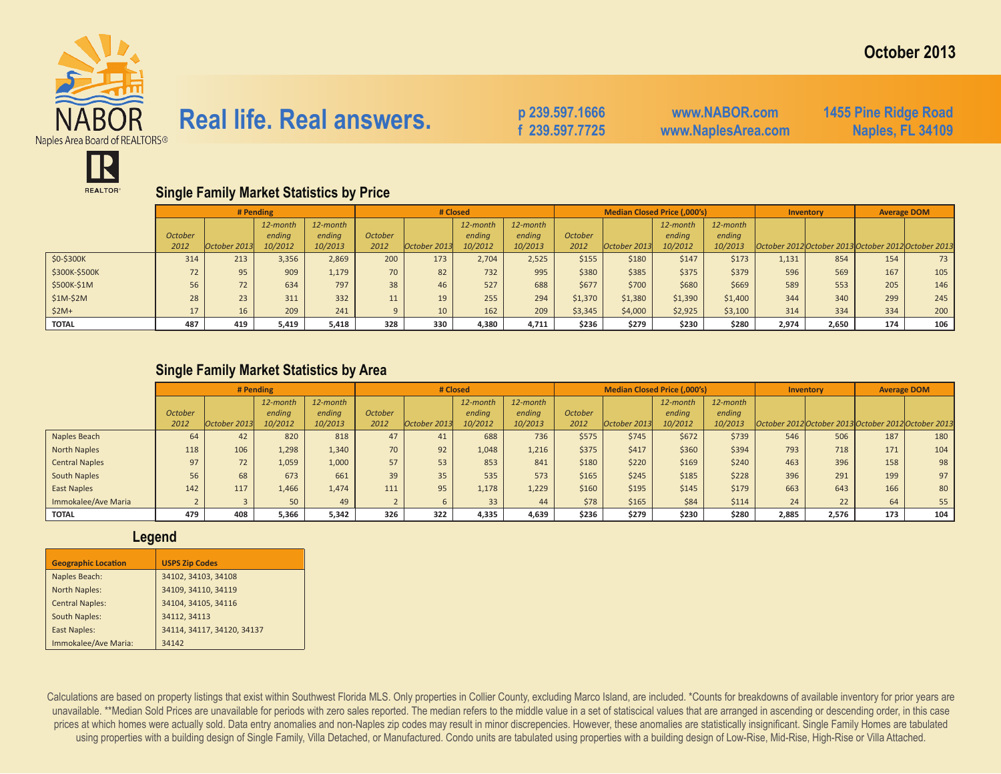

## **Real life. Real answers.** p 239.597.1666

 **f 239.597.7725**

**www.NABOR.com www.NaplesArea.com** **1455 Pine Ridge Road Naples, FL 34109**



## **Single Family Market Statistics by Price**

|               |                |              | # Pending |          |         | # Closed     |          |          |         | <b>Median Closed Price (,000's)</b> |          |          |       | Inventory                                           | <b>Average DOM</b> |      |
|---------------|----------------|--------------|-----------|----------|---------|--------------|----------|----------|---------|-------------------------------------|----------|----------|-------|-----------------------------------------------------|--------------------|------|
|               |                |              | 12-month  | 12-month |         |              | 12-month | 12-month |         |                                     | 12-month | 12-month |       |                                                     |                    |      |
|               | <b>October</b> |              | ending    | ending   | October |              | ending   | endina   | October |                                     | ending   | ending   |       |                                                     |                    |      |
|               | 2012           | October 2013 | 10/2012   | 10/2013  | 2012    | October 2013 | 10/2012  | 10/2013  | 2012    | October 2013                        | 10/2012  | 10/2013  |       | October 2012 October 2013 October 2012 October 2013 |                    |      |
| \$0-\$300K    | 314            | 213          | 3,356     | 2,869    | 200     | 173          | 2,704    | 2,525    | \$155   | \$180                               | \$147    | \$173    | 1,131 | 854                                                 | 154                | 73 I |
| \$300K-\$500K | 72             | 95           | 909       | 1,179    | 70      | 82           | 732      | 995      | \$380   | \$385                               | \$375    | \$379    | 596   | 569                                                 | 167                | 105  |
| \$500K-\$1M   | 56             | 72           | 634       | 797      | 38      | 46           | 527      | 688      | \$677   | \$700                               | \$680    | \$669    | 589   | 553                                                 | 205                | 146  |
| $$1M-$2M$     | 28             | 23           | 311       | 332      | 11      | 19           | 255      | 294      | \$1,370 | \$1,380                             | \$1,390  | \$1,400  | 344   | 340                                                 | 299                | 245  |
| $$2M+$        | 17             | 16           | 209       | 241      |         | 10           | 162      | 209      | \$3,345 | \$4,000                             | \$2,925  | \$3,100  | 314   | 334                                                 | 334                | 200  |
| <b>TOTAL</b>  | 487            | 419          | 5,419     | 5,418    | 328     | 330          | 4,380    | 4,711    | \$236   | \$279                               | \$230    | \$280    | 2,974 | 2,650                                               | 174                | 106  |

### **Single Family Market Statistics by Area**

|                       |                |              | # Pending |          |         | # Closed     |          |          |                |              | <b>Median Closed Price (,000's)</b> |          | <b>Inventory</b> |       | <b>Average DOM</b>                                  |     |
|-----------------------|----------------|--------------|-----------|----------|---------|--------------|----------|----------|----------------|--------------|-------------------------------------|----------|------------------|-------|-----------------------------------------------------|-----|
|                       |                |              | 12-month  | 12-month |         |              | 12-month | 12-month |                |              | 12-month                            | 12-month |                  |       |                                                     |     |
|                       | <b>October</b> |              | ending    | ending   | October |              | ending   | endina   | <b>October</b> |              | ending                              | endina   |                  |       |                                                     |     |
|                       | 2012           | October 2013 | 10/2012   | 10/2013  | 2012    | October 2013 | 10/2012  | 10/2013  | 2012           | October 2013 | 10/2012                             | 10/2013  |                  |       | October 2012 October 2013 October 2012 October 2013 |     |
| Naples Beach          | 64             | 42           | 820       | 818      | 47      | 41           | 688      | 736      | \$575          | \$745        | \$672                               | \$739    | 546              | 506   | 187                                                 | 180 |
| <b>North Naples</b>   | 118            | 106          | 1,298     | 1,340    | 70      | 92           | 1,048    | 1,216    | \$375          | \$417        | \$360                               | \$394    | 793              | 718   | 171                                                 | 104 |
| <b>Central Naples</b> | 97             | 72           | 1,059     | 1,000    | 57      | 53           | 853      | 841      | \$180          | \$220        | \$169                               | \$240    | 463              | 396   | 158                                                 | 98  |
| South Naples          | 56             | 68           | 673       | 661      | 39      | 35           | 535      | 573      | \$165          | \$245        | \$185                               | \$228    | 396              | 291   | 199                                                 | 97  |
| East Naples           | 142            | 117          | 1,466     | 1,474    | 111     | 95           | 1,178    | 1,229    | \$160          | \$195        | \$145                               | \$179    | 663              | 643   | 166                                                 | 80  |
| Immokalee/Ave Maria   |                |              | 50        | 49       |         |              | 33       | 44       | \$78           | \$165        | \$84                                | \$114    | 24               | 22    | 64                                                  | 55  |
| <b>TOTAL</b>          | 479            | 408          | 5,366     | 5,342    | 326     | 322          | 4,335    | 4,639    | \$236          | \$279        | \$230                               | \$280    | 2,885            | 2,576 | 173                                                 | 104 |

#### **Legend**

| <b>Geographic Location</b> | <b>USPS Zip Codes</b>      |
|----------------------------|----------------------------|
| Naples Beach:              | 34102, 34103, 34108        |
| North Naples:              | 34109, 34110, 34119        |
| <b>Central Naples:</b>     | 34104, 34105, 34116        |
| South Naples:              | 34112, 34113               |
| <b>East Naples:</b>        | 34114, 34117, 34120, 34137 |
| Immokalee/Ave Maria:       | 34142                      |

Calculations are based on property listings that exist within Southwest Florida MLS. Only properties in Collier County, excluding Marco Island, are included. \*Counts for breakdowns of available inventory for prior years ar unavailable. \*\*Median Sold Prices are unavailable for periods with zero sales reported. The median refers to the middle value in a set of statiscical values that are arranged in ascending or descending order, in this case prices at which homes were actually sold. Data entry anomalies and non-Naples zip codes may result in minor discrepencies. However, these anomalies are statistically insignificant. Single Family Homes are tabulated using properties with a building design of Single Family, Villa Detached, or Manufactured. Condo units are tabulated using properties with a building design of Low-Rise, Mid-Rise, High-Rise or Villa Attached.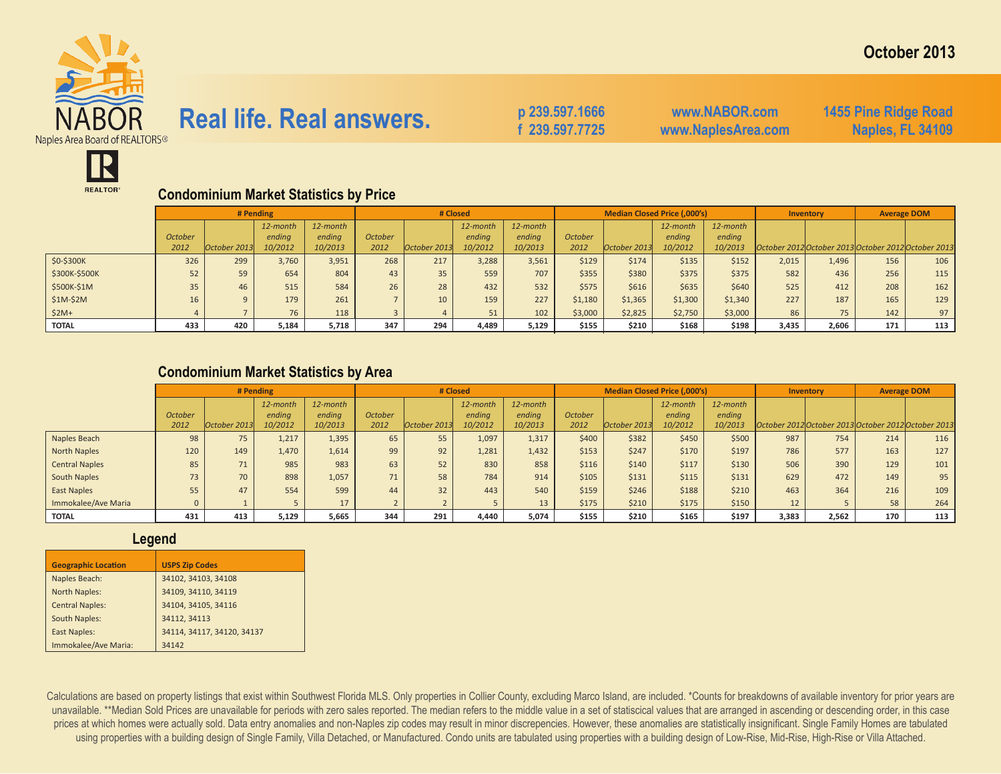

# **Real life. Real answers.** p 239.597.1666

 **f 239.597.7725**

**www.NABOR.com www.NaplesArea.com** **1455 Pine Ridge Road Naples, FL 34109**



### **Condominium Market Statistics by Price**

|               |                | # Pending    |          |          |         |              | # Closed |          |                | Median Closed Price (,000's) |          |          | Inventory |                                                     | <b>Average DOM</b> |     |
|---------------|----------------|--------------|----------|----------|---------|--------------|----------|----------|----------------|------------------------------|----------|----------|-----------|-----------------------------------------------------|--------------------|-----|
|               |                |              | 12-month | 12-month |         |              | 12-month | 12-month |                |                              | 12-month | 12-month |           |                                                     |                    |     |
|               | <b>October</b> |              | ending   | ending   | October |              | ending   | ending   | <b>October</b> |                              | ending   | ending   |           |                                                     |                    |     |
|               | 2012           | October 2013 | 10/2012  | 10/2013  | 2012    | October 2013 | 10/2012  | 10/2013  | 2012           | October 2013                 | 10/2012  | 10/2013  |           | October 2012 October 2013 October 2012 October 2013 |                    |     |
| \$0-\$300K    | 326            | 299          | 3,760    | 3,951    | 268     | 217          | 3,288    | 3,561    | \$129          | \$174                        | \$135    | \$152    | 2,015     | 1,496                                               | 156                | 106 |
| \$300K-\$500K | 52             | 59           | 654      | 804      | 43      | 35           | 559      | 707      | \$355          | \$380                        | \$375    | \$375    | 582       | 436                                                 | 256                | 115 |
| \$500K-\$1M   | 35             | 46           | 515      | 584      | 26      | 28           | 432      | 532      | \$575          | \$616                        | \$635    | \$640    | 525       | 412                                                 | 208                | 162 |
| $$1M-$2M$     | 16             | $\alpha$     | 179      | 261      |         | 10           | 159      | 227      | \$1,180        | \$1,365                      | \$1,300  | \$1,340  | 227       | 187                                                 | 165                | 129 |
| $$2M+$        |                |              | 76       | 118      |         |              | 51       | 102      | \$3,000        | \$2,825                      | \$2,750  | \$3,000  | 86        | 75                                                  | 142                | 97  |
| <b>TOTAL</b>  | 433            | 420          | 5,184    | 5,718    | 347     | 294          | 4,489    | 5,129    | \$155          | \$210                        | \$168    | \$198    | 3,435     | 2,606                                               | 171                | 113 |

### **Condominium Market Statistics by Area**

|                       |                |              | # Pending |          |                | # Closed     |          |          |                |              | Median Closed Price (,000's) |          |       | Inventory | <b>Average DOM</b> |                                                     |
|-----------------------|----------------|--------------|-----------|----------|----------------|--------------|----------|----------|----------------|--------------|------------------------------|----------|-------|-----------|--------------------|-----------------------------------------------------|
|                       |                |              | 12-month  | 12-month |                |              | 12-month | 12-month |                |              | 12-month                     | 12-month |       |           |                    |                                                     |
|                       | <b>October</b> |              | endina    | ending   | <b>October</b> |              | ending   | endina   | <b>October</b> |              | ending                       | ending   |       |           |                    |                                                     |
|                       | 2012           | October 2013 | 10/2012   | 10/2013  | 2012           | October 2013 | 10/2012  | 10/2013  | 2012           | October 2013 | 10/2012                      | 10/2013  |       |           |                    | October 2012 October 2013 October 2012 October 2013 |
| Naples Beach          | 98             | 75           | 1.217     | 1,395    | 65             | 55           | 1,097    | 1,317    | \$400          | \$382        | \$450                        | \$500    | 987   | 754       | 214                | 116                                                 |
| North Naples          | 120            | 149          | 1,470     | 1,614    | 99             | 92           | 1,281    | 1,432    | \$153          | \$247        | \$170                        | \$197    | 786   | 577       | 163                | 127                                                 |
| <b>Central Naples</b> | 85             | 71           | 985       | 983      | 63             | 52           | 830      | 858      | \$116          | \$140        | \$117                        | \$130    | 506   | 390       | 129                | 101                                                 |
| <b>South Naples</b>   | 73             | 70           | 898       | 1,057    | 71             | 58           | 784      | 914      | \$105          | \$131        | \$115                        | \$131    | 629   | 472       | 149                | 95                                                  |
| East Naples           | 55             | 47           | 554       | 599      | 44             | 32           | 443      | 540      | \$159          | \$246        | \$188                        | \$210    | 463   | 364       | 216                | 109                                                 |
| Immokalee/Ave Maria   | 0              |              |           | 17       |                |              |          |          | \$175          | \$210        | \$175                        | \$150    | 12    |           | 58                 | 264                                                 |
| <b>TOTAL</b>          | 431            | 413          | 5,129     | 5,665    | 344            | 291          | 4,440    | 5,074    | \$155          | \$210        | \$165                        | \$197    | 3,383 | 2,562     | 170                | 113                                                 |

#### **Legend**

| <b>Geographic Location</b> | <b>USPS Zip Codes</b>      |
|----------------------------|----------------------------|
| Naples Beach:              | 34102, 34103, 34108        |
| <b>North Naples:</b>       | 34109, 34110, 34119        |
| <b>Central Naples:</b>     | 34104, 34105, 34116        |
| <b>South Naples:</b>       | 34112, 34113               |
| <b>East Naples:</b>        | 34114, 34117, 34120, 34137 |
| Immokalee/Ave Maria:       | 34142                      |

Calculations are based on property listings that exist within Southwest Florida MLS. Only properties in Collier County, excluding Marco Island, are included. \*Counts for breakdowns of available inventory for prior years ar unavailable. \*\*Median Sold Prices are unavailable for periods with zero sales reported. The median refers to the middle value in a set of statiscical values that are arranged in ascending or descending order, in this case prices at which homes were actually sold. Data entry anomalies and non-Naples zip codes may result in minor discrepencies. However, these anomalies are statistically insignificant. Single Family Homes are tabulated using properties with a building design of Single Family, Villa Detached, or Manufactured. Condo units are tabulated using properties with a building design of Low-Rise, Mid-Rise, High-Rise or Villa Attached.